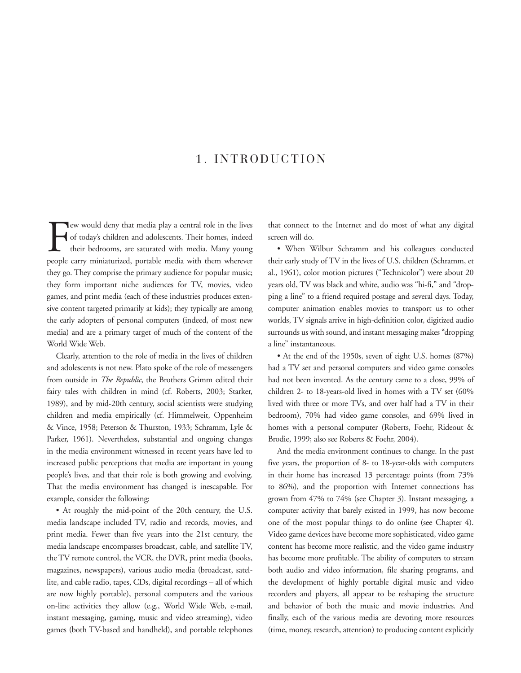## 1. INTRODUCTION

Few would deny that media play a central role in the lives<br>of today's children and adolescents. Their homes, indeed<br>their bedrooms, are saturated with media. Many young<br>people carry miniaturized, portable media with them w ew would deny that media play a central role in the lives of today's children and adolescents. Their homes, indeed their bedrooms, are saturated with media. Many young they go. They comprise the primary audience for popular music; they form important niche audiences for TV, movies, video games, and print media (each of these industries produces extensive content targeted primarily at kids); they typically are among the early adopters of personal computers (indeed, of most new media) and are a primary target of much of the content of the World Wide Web.

Clearly, attention to the role of media in the lives of children and adolescents is not new. Plato spoke of the role of messengers from outside in *The Republic*, the Brothers Grimm edited their fairy tales with children in mind (cf. Roberts, 2003; Starker, 1989), and by mid-20th century, social scientists were studying children and media empirically (cf. Himmelweit, Oppenheim & Vince, 1958; Peterson & Thurston, 1933; Schramm, Lyle & Parker, 1961). Nevertheless, substantial and ongoing changes in the media environment witnessed in recent years have led to increased public perceptions that media are important in young people's lives, and that their role is both growing and evolving. That the media environment has changed is inescapable. For example, consider the following:

• At roughly the mid-point of the 20th century, the U.S. media landscape included TV, radio and records, movies, and print media. Fewer than five years into the 21st century, the media landscape encompasses broadcast, cable, and satellite TV, the TV remote control, the VCR, the DVR, print media (books, magazines, newspapers), various audio media (broadcast, satellite, and cable radio, tapes, CDs, digital recordings – all of which are now highly portable), personal computers and the various on-line activities they allow (e.g., World Wide Web, e-mail, instant messaging, gaming, music and video streaming), video games (both TV-based and handheld), and portable telephones

that connect to the Internet and do most of what any digital screen will do.

• When Wilbur Schramm and his colleagues conducted their early study of TV in the lives of U.S. children (Schramm, et al., 1961), color motion pictures ("Technicolor") were about 20 years old, TV was black and white, audio was "hi-fi," and "dropping a line" to a friend required postage and several days. Today, computer animation enables movies to transport us to other worlds, TV signals arrive in high-definition color, digitized audio surrounds us with sound, and instant messaging makes "dropping a line" instantaneous.

• At the end of the 1950s, seven of eight U.S. homes (87%) had a TV set and personal computers and video game consoles had not been invented. As the century came to a close, 99% of children 2- to 18-years-old lived in homes with a TV set (60% lived with three or more TVs, and over half had a TV in their bedroom), 70% had video game consoles, and 69% lived in homes with a personal computer (Roberts, Foehr, Rideout & Brodie, 1999; also see Roberts & Foehr, 2004).

And the media environment continues to change. In the past five years, the proportion of 8- to 18-year-olds with computers in their home has increased 13 percentage points (from 73% to 86%), and the proportion with Internet connections has grown from 47% to 74% (see Chapter 3). Instant messaging, a computer activity that barely existed in 1999, has now become one of the most popular things to do online (see Chapter 4). Video game devices have become more sophisticated, video game content has become more realistic, and the video game industry has become more profitable. The ability of computers to stream both audio and video information, file sharing programs, and the development of highly portable digital music and video recorders and players, all appear to be reshaping the structure and behavior of both the music and movie industries. And finally, each of the various media are devoting more resources (time, money, research, attention) to producing content explicitly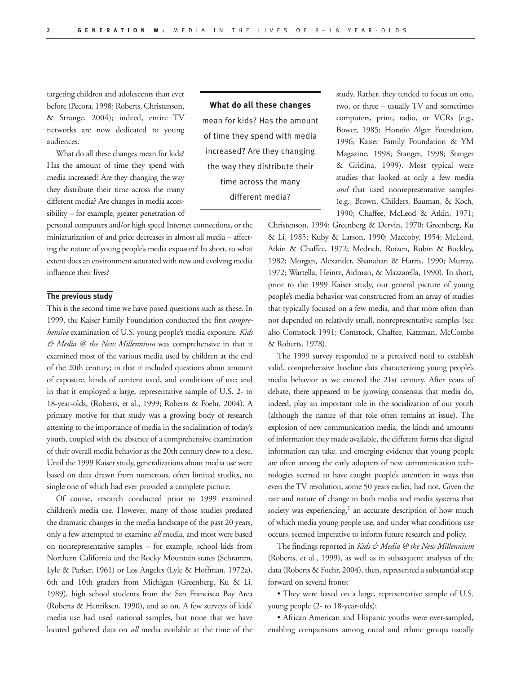targeting children and adolescents than ever before (Pecora, 1998; Roberts, Christenson, & Strange, 2004); indeed, entire TV networks are now dedicated to young audiences.

What do all these changes mean for kids? Has the amount of time they spend with media increased? Are they changing the way they distribute their time across the many different media? Are changes in media accessibility – for example, greater penetration of

personal computers and/or high speed Internet connections, or the miniaturization of and price decreases in almost all media – affecting the nature of young people's media exposure? In short, to what extent does an environment saturated with new and evolving media influence their lives?

## **The previous study**

This is the second time we have posed questions such as these. In 1999, the Kaiser Family Foundation conducted the first *comprehensive* examination of U.S. young people's media exposure. *Kids & Media @ the New Millennium* was comprehensive in that it examined most of the various media used by children at the end of the 20th century; in that it included questions about amount of exposure, kinds of content used, and conditions of use; and in that it employed a large, representative sample of U.S. 2- to 18-year-olds, (Roberts, et al., 1999; Roberts & Foehr, 2004). A primary motive for that study was a growing body of research attesting to the importance of media in the socialization of today's youth, coupled with the absence of a comprehensive examination of their overall media behavior as the 20th century drew to a close. Until the 1999 Kaiser study, generalizations about media use were based on data drawn from numerous, often limited studies, no single one of which had ever provided a complete picture.

Of course, research conducted prior to 1999 examined children's media use. However, many of those studies predated the dramatic changes in the media landscape of the past 20 years, only a few attempted to examine *all* media, and most were based on nonrepresentative samples – for example, school kids from Northern California and the Rocky Mountain states (Schramm, Lyle & Parker, 1961) or Los Angeles (Lyle & Hoffman, 1972a), 6th and 10th graders from Michigan (Greenberg, Ku & Li, 1989), high school students from the San Francisco Bay Area (Roberts & Henriksen, 1990), and so on. A few surveys of kids' media use had used national samples, but none that we have located gathered data on *all* media available at the time of the

**What do all these changes**  mean for kids? Has the amount of time they spend with media increased? Are they changing the way they distribute their time across the many different media?

study. Rather, they tended to focus on one, two, or three – usually TV and sometimes computers, print, radio, or VCRs (e.g., Bower, 1985; Horatio Alger Foundation, 1996; Kaiser Family Foundation & YM Magazine, 1998; Stanger, 1998; Stanger & Gridina, 1999). Most typical were studies that looked at only a few media *and* that used nonrepresentative samples (e.g., Brown, Childers, Bauman, & Koch, 1990; Chaffee, McLeod & Atkin, 1971;

Christenson, 1994; Greenberg & Dervin, 1970; Greenberg, Ku & Li, 1985; Kuby & Larson, 1990; Maccoby, 1954; McLeod, Atkin & Chaffee, 1972; Medrich, Roizen, Rubin & Buckley, 1982; Morgan, Alexander, Shanahan & Harris, 1990; Murray, 1972; Wartella, Heintz, Aidman, & Mazzarella, 1990). In short, prior to the 1999 Kaiser study, our general picture of young people's media behavior was constructed from an array of studies that typically focused on a few media, and that more often than not depended on relatively small, nonrepresentative samples (see also Comstock 1991; Comstock, Chaffee, Katzman, McCombs & Roberts, 1978).

The 1999 survey responded to a perceived need to establish valid, comprehensive baseline data characterizing young people's media behavior as we entered the 21st century. After years of debate, there appeared to be growing consensus that media do, indeed, play an important role in the socialization of our youth (although the nature of that role often remains at issue). The explosion of new communication media, the kinds and amounts of information they made available, the different forms that digital information can take, and emerging evidence that young people are often among the early adopters of new communication technologies seemed to have caught people's attention in ways that even the TV revolution, some 50 years earlier, had not. Given the rate and nature of change in both media and media systems that society was experiencing, $1$  an accurate description of how much of which media young people use, and under what conditions use occurs, seemed imperative to inform future research and policy.

The findings reported in *Kids & Media @ the New Millennium* (Roberts, et al., 1999), as well as in subsequent analyses of the data (Roberts & Foehr, 2004), then, represented a substantial step forward on several fronts:

• They were based on a large, representative sample of U.S. young people (2- to 18-year-olds);

• African American and Hispanic youths were over-sampled, enabling comparisons among racial and ethnic groups usually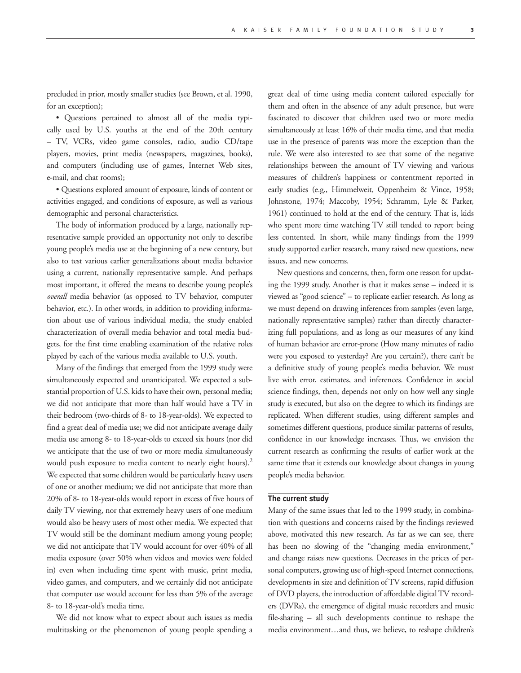precluded in prior, mostly smaller studies (see Brown, et al. 1990, for an exception);

• Questions pertained to almost all of the media typically used by U.S. youths at the end of the 20th century – TV, VCRs, video game consoles, radio, audio CD/tape players, movies, print media (newspapers, magazines, books), and computers (including use of games, Internet Web sites, e-mail, and chat rooms);

• Questions explored amount of exposure, kinds of content or activities engaged, and conditions of exposure, as well as various demographic and personal characteristics.

The body of information produced by a large, nationally representative sample provided an opportunity not only to describe young people's media use at the beginning of a new century, but also to test various earlier generalizations about media behavior using a current, nationally representative sample. And perhaps most important, it offered the means to describe young people's *overall* media behavior (as opposed to TV behavior, computer behavior, etc.). In other words, in addition to providing information about use of various individual media, the study enabled characterization of overall media behavior and total media budgets, for the first time enabling examination of the relative roles played by each of the various media available to U.S. youth.

Many of the findings that emerged from the 1999 study were simultaneously expected and unanticipated. We expected a substantial proportion of U.S. kids to have their own, personal media; we did not anticipate that more than half would have a TV in their bedroom (two-thirds of 8- to 18-year-olds). We expected to find a great deal of media use; we did not anticipate average daily media use among 8- to 18-year-olds to exceed six hours (nor did we anticipate that the use of two or more media simultaneously would push exposure to media content to nearly eight hours).<sup>2</sup> We expected that some children would be particularly heavy users of one or another medium; we did not anticipate that more than 20% of 8- to 18-year-olds would report in excess of five hours of daily TV viewing, nor that extremely heavy users of one medium would also be heavy users of most other media. We expected that TV would still be the dominant medium among young people; we did not anticipate that TV would account for over 40% of all media exposure (over 50% when videos and movies were folded in) even when including time spent with music, print media, video games, and computers, and we certainly did not anticipate that computer use would account for less than 5% of the average 8- to 18-year-old's media time.

We did not know what to expect about such issues as media multitasking or the phenomenon of young people spending a great deal of time using media content tailored especially for them and often in the absence of any adult presence, but were fascinated to discover that children used two or more media simultaneously at least 16% of their media time, and that media use in the presence of parents was more the exception than the rule. We were also interested to see that some of the negative relationships between the amount of TV viewing and various measures of children's happiness or contentment reported in early studies (e.g., Himmelweit, Oppenheim & Vince, 1958; Johnstone, 1974; Maccoby, 1954; Schramm, Lyle & Parker, 1961) continued to hold at the end of the century. That is, kids who spent more time watching TV still tended to report being less contented. In short, while many findings from the 1999 study supported earlier research, many raised new questions, new issues, and new concerns.

New questions and concerns, then, form one reason for updating the 1999 study. Another is that it makes sense – indeed it is viewed as "good science" – to replicate earlier research. As long as we must depend on drawing inferences from samples (even large, nationally representative samples) rather than directly characterizing full populations, and as long as our measures of any kind of human behavior are error-prone (How many minutes of radio were you exposed to yesterday? Are you certain?), there can't be a definitive study of young people's media behavior. We must live with error, estimates, and inferences. Confidence in social science findings, then, depends not only on how well any single study is executed, but also on the degree to which its findings are replicated. When different studies, using different samples and sometimes different questions, produce similar patterns of results, confidence in our knowledge increases. Thus, we envision the current research as confirming the results of earlier work at the same time that it extends our knowledge about changes in young people's media behavior.

## **The current study**

Many of the same issues that led to the 1999 study, in combination with questions and concerns raised by the findings reviewed above, motivated this new research. As far as we can see, there has been no slowing of the "changing media environment," and change raises new questions. Decreases in the prices of personal computers, growing use of high-speed Internet connections, developments in size and definition of TV screens, rapid diffusion of DVD players, the introduction of affordable digital TV recorders (DVRs), the emergence of digital music recorders and music file-sharing – all such developments continue to reshape the media environment…and thus, we believe, to reshape children's